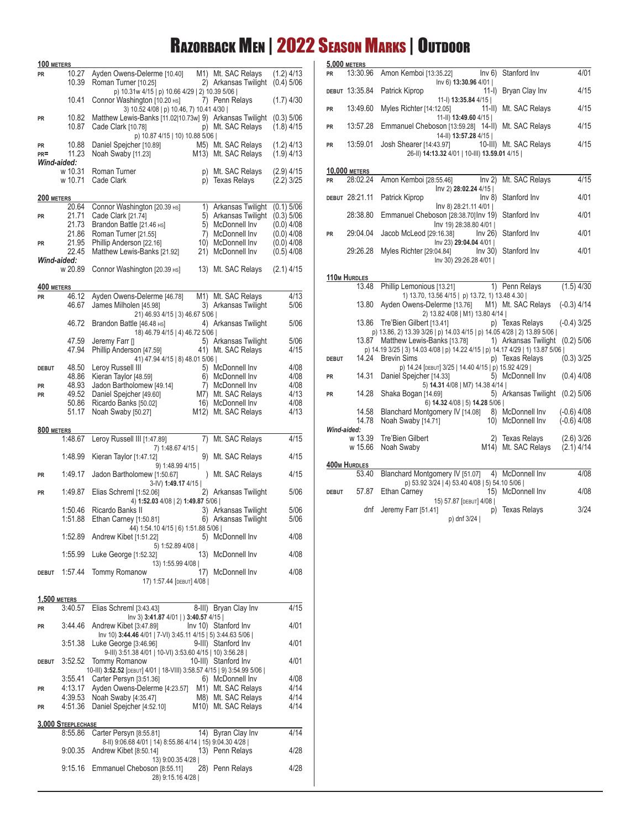## Razorback Men | 2022 Season Marks | Outdoor **5,000 meters**

| 100 METERS          |                               |                                                                                                      |           |                                              |                              |
|---------------------|-------------------------------|------------------------------------------------------------------------------------------------------|-----------|----------------------------------------------|------------------------------|
| PR                  | 10.27<br>10.39                | Ayden Owens-Delerme [10.40]<br>Roman Turner [10.25]                                                  |           | M1) Mt. SAC Relays<br>2) Arkansas Twilight   | $(1.2)$ 4/13<br>$(0.4)$ 5/06 |
|                     | 10.41                         | p) 10.31w 4/15   p) 10.66 4/29   2) 10.39 5/06  <br>Connor Washington [10.20 HS]                     |           | 7) Penn Relays                               | $(1.7)$ 4/30                 |
| PR                  | 10.82                         | 3) 10.52 4/08   p) 10.46, 7) 10.41 4/30  <br>Matthew Lewis-Banks [11.02 10.73w] 9) Arkansas Twilight |           |                                              | $(0.3)$ 5/06                 |
|                     | 10.87                         | Cade Clark [10.78]<br>p) 10.87 4/15   10) 10.88 5/06                                                 |           | p) Mt. SAC Relays                            | $(1.8)$ 4/15                 |
| PR<br>$PR =$        | 10.88<br>11.23                | Daniel Spejcher [10.89]                                                                              |           | M5) Mt. SAC Relays                           | $(1.2)$ 4/13                 |
|                     | Wind-aided:                   | Noah Swaby [11.23]                                                                                   |           | M <sub>13</sub> ) Mt. SAC Relays             | $(1.9)$ 4/13                 |
|                     | w 10.31<br>w 10.71            | Roman Turner<br>Cade Clark                                                                           | p)        | Mt. SAC Relays<br>p) Texas Relays            | $(2.9)$ 4/15<br>$(2.2)$ 3/25 |
| 200 METERS          |                               |                                                                                                      |           |                                              |                              |
|                     | 20.64                         | Connor Washington [20.39 HS]                                                                         |           | 1) Arkansas Twilight                         | $(0.1)$ 5/06                 |
| <b>PR</b>           | 21.71<br>21.73                | Cade Clark [21.74]<br>Brandon Battle [21.46 HS]                                                      |           | 5) Arkansas Twilight<br>5) McDonnell Inv     | $(0.3)$ 5/06<br>$(0.0)$ 4/08 |
|                     | 21.86                         | Roman Turner [21.55]                                                                                 | 7)        | McDonnell Inv                                | $(0.0)$ 4/08                 |
| PR                  | 21.95                         | Phillip Anderson [22.16]                                                                             | 10)       | McDonnell Inv                                | $(0.0)$ 4/08                 |
|                     | 22.45<br>Wind-aided:          | Matthew Lewis-Banks [21.92]                                                                          | 21)       | McDonnell Inv                                | $(0.5)$ 4/08                 |
|                     | w 20.89                       | Connor Washington [20.39 HS]                                                                         |           | 13) Mt. SAC Relays                           | $(2.1)$ 4/15                 |
| 400 METERS          |                               |                                                                                                      |           |                                              |                              |
| PR                  | 46.12<br>46.67                | Ayden Owens-Delerme [46.78]                                                                          | M1)       | Mt. SAC Relays                               | 4/13                         |
|                     |                               | James Milholen [45.98]<br>21) 46.93 4/15   3) 46.67 5/06                                             |           | 3) Arkansas Twilight                         | 5/06                         |
|                     | 46.72                         | Brandon Battle [46.48 HS]<br>18) 46.79 4/15   4) 46.72 5/06                                          |           | 4) Arkansas Twilight                         | 5/06                         |
|                     | 47.59<br>47.94                | Jeremy Farr []                                                                                       |           | 5) Arkansas Twilight                         | 5/06                         |
|                     |                               | Phillip Anderson [47.59]<br>41) 47.94 4/15   8) 48.01 5/06                                           |           | 41) Mt. SAC Relays                           | 4/15                         |
| DEBUT               | 48.50                         | Leroy Russell III                                                                                    |           | 5) McDonnell Inv                             | 4/08                         |
|                     | 48.86                         | Kieran Taylor [48.59]                                                                                |           | 6) McDonnell Inv                             | 4/08                         |
| PR<br><b>PR</b>     | 48.93<br>49.52                | Jadon Bartholomew [49.14]<br>Daniel Spejcher [49.60]                                                 | 7)<br>M7) | McDonnell Inv<br>Mt. SAC Relays              | 4/08<br>4/13                 |
|                     | 50.86                         | Ricardo Banks [50.02]                                                                                | 16)       | McDonnell Inv                                | 4/08                         |
|                     | 51.17                         | Noah Swaby [50.27]                                                                                   | M12)      | Mt. SAC Relays                               | 4/13                         |
| 800 METERS          |                               |                                                                                                      |           |                                              |                              |
|                     | 1:48.67                       | Leroy Russell III [1:47.89]<br>7) 1:48.67 4/15                                                       | 7)        | Mt. SAC Relays                               | 4/15                         |
|                     | 1:48.99                       | Kieran Taylor [1:47.12]<br>9) 1:48.99 4/15                                                           | 9)        | Mt. SAC Relays                               | 4/15                         |
| PR                  | 1:49.17                       | Jadon Bartholomew [1:50.67]<br>3-IV) 1:49.17 4/15                                                    |           | ) Mt. SAC Relays                             | 4/15                         |
| PR                  | 1:49.87                       | Elias Schreml [1:52.06]<br>4) 1:52.03 4/08   2) 1:49.87 5/06                                         |           | 2) Arkansas Twilight                         | 5/06                         |
|                     | 1:50.46<br>1:51.88            | Ricardo Banks II<br>Ethan Carney [1:50.81]                                                           |           | 3) Arkansas Twilight<br>6) Arkansas Twilight | 5/06<br>5/06                 |
|                     | 1:52.89                       | 44) 1:54.10 4/15   6) 1:51.88 5/06  <br>Andrew Kibet [1:51.22]                                       |           | 5) McDonnell Inv                             | 4/08                         |
|                     | 1:55.99                       | 5) 1:52.89 4/08                                                                                      |           | 13) McDonnell Inv                            | 4/08                         |
|                     |                               | Luke George [1:52.32]<br>13) 1:55.99 4/08                                                            |           |                                              |                              |
| DEBUT               | 1:57.44                       | <b>Tommy Romanow</b><br>17) 1:57.44 [DEBUT] 4/08                                                     | 17)       | McDonnell Inv                                | 4/08                         |
| <b>1,500 METERS</b> |                               |                                                                                                      |           |                                              |                              |
| <b>PR</b>           | 3:40.57                       | Elias Schreml [3:43.43]<br>lnv 3) 3:41.87 4/01   ) 3:40.57 4/15                                      |           | 8-III) Bryan Clay Inv                        | 4/15                         |
| PR                  | 3:44.46                       | Andrew Kibet [3:47.89]<br>lnv 10) 3:44.46 4/01   7-VI) 3:45.11 4/15   5) 3:44.63 5/06                |           | Inv 10) Stanford Inv                         | 4/01                         |
|                     | 3:51.38                       | Luke George [3:46.96]<br>9-III) 3:51.38 4/01   10-VI) 3:53.60 4/15   10) 3:56.28                     |           | 9-III) Stanford Inv                          | 4/01                         |
| DEBUT               |                               | 3:52.52 Tommy Romanow<br>10-III) 3:52.52 [DEBUT] 4/01   18-VIII) 3:58.57 4/15   9) 3:54.99 5/06      |           | 10-III) Stanford Inv                         | 4/01                         |
|                     | 3:55.41                       | Carter Persyn [3:51.36]                                                                              |           | 6) McDonnell Inv                             | 4/08                         |
| PR                  | 4:13.17                       | Ayden Owens-Delerme [4:23.57] M1) Mt. SAC Relays                                                     |           |                                              | 4/14                         |
| PR                  | 4:39.53<br>4:51.36            | Noah Swaby [4:35.47]<br>Daniel Spejcher [4:52.10]                                                    |           | M8) Mt. SAC Relays<br>M10) Mt. SAC Relays    | 4/14<br>4/14                 |
|                     |                               |                                                                                                      |           |                                              |                              |
|                     | 3,000 STEEPLECHASE<br>8:55.86 | Carter Persyn [8:55.81]                                                                              | 14)       | Byran Clay Inv                               | 4/14                         |
|                     |                               | 8-II) 9:06.68 4/01   14) 8:55.86 4/14   15) 9:04.30 4/28                                             |           |                                              |                              |
|                     | 9:00.35                       | Andrew Kibet [8:50.14]                                                                               |           | 13) Penn Relays                              | 4/28                         |
|                     | 9:15.16                       | 13) 9:00.35 4/28  <br>Emmanuel Cheboson [8:55.11]<br>28) 9:15.16 4/28                                |           | 28) Penn Relays                              | 4/28                         |
|                     |                               |                                                                                                      |           |                                              |                              |

| <b>PR</b>    | 13:30.96                          | Amon Kemboi [13:35.22]                                                        | Inv 6) 13:30.96 4/01                                                   | Inv 6) Stanford Inv    | 4/01          |
|--------------|-----------------------------------|-------------------------------------------------------------------------------|------------------------------------------------------------------------|------------------------|---------------|
|              | DEBUT 13:35.84                    | Patrick Kiprop                                                                |                                                                        | 11-I) Bryan Clay Inv   | 4/15          |
| <b>PR</b>    | 13:49.60                          | Myles Richter [14:12.05]                                                      | 11-I) 13:35.84 4/15                                                    | 11-II) Mt. SAC Relays  | 4/15          |
| <b>PR</b>    | 13:57.28                          | Emmanuel Cheboson [13:59.28] 14-II) Mt. SAC Relays                            | 11-II) 13:49.60 4/15                                                   |                        | 4/15          |
| <b>PR</b>    | 13:59.01                          | Josh Shearer [14:43.97]                                                       | 14-II) 13:57.28 4/15  <br>26-II) 14:13.32 4/01   10-III) 13.59.01 4/15 | 10-III) Mt. SAC Relays | 4/15          |
|              |                                   |                                                                               |                                                                        |                        |               |
|              | <b>10,000 METERS</b>              |                                                                               |                                                                        |                        |               |
| <b>PR</b>    | 28:02.24                          | Amon Kemboi [28:55.46]                                                        | Inv <sub>2</sub><br>Inv 2) 28:02.24 4/15                               | Mt. SAC Relays         | 4/15          |
|              | DEBUT 28:21.11                    | Patrick Kiprop                                                                | Inv 8)<br>lnv 8) 28:21.11 4/01                                         | Stanford Inv           | 4/01          |
|              | 28:38.80                          | Emmanuel Cheboson [28:38.70] Inv 19) Stanford Inv                             | lnv 19) 28:38.80 4/01                                                  |                        | 4/01          |
| <b>PR</b>    | 29:04.04                          | Jacob McLeod [29:16.38]                                                       | Inv 26)<br>Inv 23) 29:04.04 4/01                                       | Stanford Inv           | 4/01          |
|              | 29:26.28                          | Myles Richter [29:04.84]                                                      | Inv 30) 29:26.28 4/01                                                  | Inv 30) Stanford Inv   | 4/01          |
|              |                                   |                                                                               |                                                                        |                        |               |
|              | 110 <sub>M</sub> HURDLES<br>13.48 | Phillip Lemonious [13.21]                                                     |                                                                        | 1) Penn Relays         | $(1.5)$ 4/30  |
|              |                                   |                                                                               | 1) 13.70, 13.56 4/15   p) 13.72, 1) 13.48 4.30                         |                        |               |
|              | 13.80                             | Ayden Owens-Delerme [13.76]                                                   |                                                                        | M1) Mt. SAC Relays     | $(-0.3)$ 4/14 |
|              | 13.86                             | Tre'Bien Gilbert [13.41]                                                      | 2) 13.82 4/08   M1) 13.80 4/14                                         | p) Texas Relays        | $(-0.4)$ 3/25 |
|              |                                   | p) 13.86, 2) 13.39 3/26   p) 14.03 4/15   p) 14.05 4/28   2) 13.89 5/06       |                                                                        |                        |               |
|              | 13.87                             | Matthew Lewis-Banks [13.78]                                                   |                                                                        | 1) Arkansas Twilight   | $(0.2)$ 5/06  |
|              |                                   | p) 14.19 3/25   3) 14.03 4/08   p) 14.22 4/15   p) 14.17 4/29   1) 13.87 5/06 |                                                                        |                        |               |
| <b>DEBUT</b> | 14.24                             | <b>Brevin Sims</b>                                                            |                                                                        | p) Texas Relays        | $(0.3)$ 3/25  |
| PR           | 14.31                             | Daniel Spejcher [14.33]                                                       | р) 14.24 [DEBUT] 3/25   14.40 4/15   р) 15.92 4/29                     | 5) McDonnell Inv       | $(0.4)$ 4/08  |
| <b>PR</b>    | 14.28                             | Shaka Bogan [14.69]                                                           | 5) 14.31 4/08   M7) 14.38 4/14                                         | 5) Arkansas Twilight   | $(0.2)$ 5/06  |
|              |                                   |                                                                               | 6) 14.32 4/08   5) 14.28 5/06                                          |                        |               |
|              | 14.58                             | Blanchard Montgomery IV [14.08]                                               |                                                                        | 8) McDonnell Inv       | $(-0.6)$ 4/08 |
| Wind-aided:  | 14.78                             | Noah Swaby [14.71]                                                            |                                                                        | 10) McDonnell Inv      | $(-0.6)$ 4/08 |
|              | w 13.39                           | Tre'Bien Gilbert                                                              | 2)                                                                     | <b>Texas Relays</b>    | $(2.6)$ 3/26  |
|              | w 15.66                           | Noah Swaby                                                                    | M14)                                                                   | Mt. SAC Relays         | $(2.1)$ 4/14  |
|              | <b>400m HURDLES</b>               |                                                                               |                                                                        |                        |               |
|              | 53.40                             | Blanchard Montgomery IV [51.07] 4) McDonnell Inv                              |                                                                        |                        | 4/08          |
|              |                                   |                                                                               | p) 53.92 3/24   4) 53.40 4/08   5) 54.10 5/06                          |                        |               |
| <b>DEBUT</b> | 57.87                             | Ethan Carney                                                                  | 15) 57.87 [DEBUT] 4/08                                                 | 15) McDonnell Inv      | 4/08          |
|              | dnf                               | Jeremy Farr [51.41]                                                           | p)                                                                     | <b>Texas Relays</b>    | 3/24          |

p) dnf 3/24 |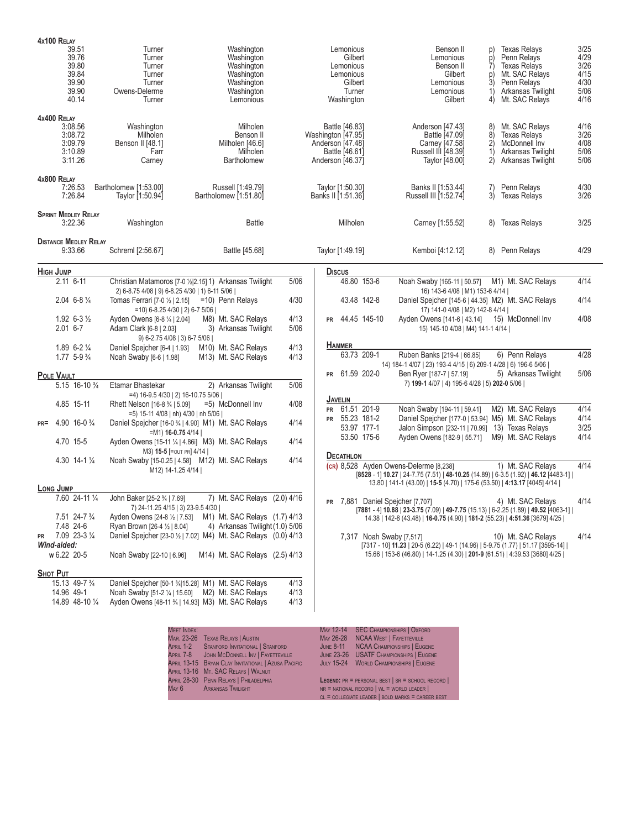| 4x100 RELAY<br>39.51<br>39.76<br>39.80                             | Turner<br>Turner<br>Turner                                                                        | Washington<br>Washington<br>Washington                                                                                                                        |                      | Lemonious<br>Gilbert<br>Lemonious                                                              |                                    | Benson II<br>Lemonious<br>Benson II                                                                                 | p)<br>p)<br>7)        | <b>Texas Relays</b><br>Penn Relays<br><b>Texas Relays</b>                                                                                                                                     | 3/25<br>4/29<br>3/26                 |
|--------------------------------------------------------------------|---------------------------------------------------------------------------------------------------|---------------------------------------------------------------------------------------------------------------------------------------------------------------|----------------------|------------------------------------------------------------------------------------------------|------------------------------------|---------------------------------------------------------------------------------------------------------------------|-----------------------|-----------------------------------------------------------------------------------------------------------------------------------------------------------------------------------------------|--------------------------------------|
| 39.84<br>39.90<br>39.90<br>40.14                                   | Turner<br>Turner<br>Owens-Delerme<br>Turner                                                       | Washington<br>Washington<br>Washington<br>Lemonious                                                                                                           |                      | Lemonious<br>Gilbert<br>Turner<br>Washington                                                   |                                    | Gilbert<br>Lemonious<br>Lemonious<br>Gilbert                                                                        | p)<br>'3)<br>1)<br>4) | Mt. SAC Relays<br>Penn Relays<br>Arkansas Twilight<br>Mt. SAC Relays                                                                                                                          | 4/15<br>4/30<br>5/06<br>4/16         |
| 4x400 RELAY<br>3:08.56<br>3:08.72<br>3:09.79<br>3:10.89<br>3:11.26 | Washington<br>Milholen<br>Benson II [48.1]<br>Farr<br>Carney                                      | Milholen<br>Benson II<br>Milholen [46.6]<br>Milholen<br>Bartholomew                                                                                           |                      | Battle [46.83]<br>Washington [47.95]<br>Anderson [47.48]<br>Battle [46.61]<br>Anderson [46.37] |                                    | Anderson [47.43]<br>Battle [47.09]<br>Carney [47.58]<br>Russell III [48.39]<br>Taylor [48.00]                       | 8)<br>2)<br>1)<br>2)  | Mt. SAC Relays<br><b>Texas Relays</b><br>McDonnell Inv<br>Arkansas Twilight<br>Arkansas Twilight                                                                                              | 4/16<br>3/26<br>4/08<br>5/06<br>5/06 |
| 4x800 RELAY<br>7:26.53<br>7:26.84                                  | Bartholomew [1:53.00]<br>Taylor [1:50.94]                                                         | Russell [1:49.79]<br>Bartholomew [1:51.80]                                                                                                                    |                      | Taylor [1:50.30]<br>Banks II [1:51.36]                                                         |                                    | Banks II [1:53.44]<br>Russell III [1:52.74]                                                                         | 7)<br>3)              | Penn Relays<br><b>Texas Relays</b>                                                                                                                                                            | 4/30<br>3/26                         |
| <b>SPRINT MEDLEY RELAY</b><br>3:22.36                              | Washington                                                                                        | <b>Battle</b>                                                                                                                                                 |                      | Milholen                                                                                       |                                    | Carney [1:55.52]                                                                                                    |                       | 8) Texas Relays                                                                                                                                                                               | 3/25                                 |
| <b>DISTANCE MEDLEY RELAY</b><br>9:33.66                            | Schreml [2:56.67]                                                                                 | Battle [45.68]                                                                                                                                                |                      | Taylor [1:49.19]                                                                               |                                    | Kemboi [4:12.12]                                                                                                    |                       | 8) Penn Relays                                                                                                                                                                                | 4/29                                 |
| <b>HIGH JUMP</b>                                                   |                                                                                                   |                                                                                                                                                               |                      | <b>Discus</b>                                                                                  |                                    |                                                                                                                     |                       |                                                                                                                                                                                               |                                      |
| $2.11$ 6-11                                                        | 2) 6-8.75 4/08   9) 6-8.25 4/30   1) 6-11 5/06                                                    | Christian Matamoros [7-0 1/2 2.15] 1) Arkansas Twilight                                                                                                       | 5/06                 |                                                                                                | 46.80 153-6                        | Noah Swaby [165-11   50.57]<br>16) 143-6 4/08   M1) 153-6 4/14                                                      |                       | M1) Mt. SAC Relays                                                                                                                                                                            | 4/14                                 |
| $2.04$ 6-8 $\frac{1}{4}$                                           | Tomas Ferrari [7-0 1/2   2.15]<br>$=$ 10) 6-8.25 4/30   2) 6-7 5/06                               | =10) Penn Relays                                                                                                                                              | 4/30                 |                                                                                                | 43.48 142-8                        | 17) 141-0 4/08   M2) 142-8 4/14                                                                                     |                       | Daniel Speicher [145-6   44.35] M2) Mt. SAC Relays                                                                                                                                            | 4/14                                 |
| $1.92$ 6-3 $\frac{1}{2}$<br>$2.01$ 6-7                             | Ayden Owens [6-8 1/4   2.04]<br>Adam Clark [6-8   2.03]<br>9) 6-2.75 4/08   3) 6-7 5/06           | M8) Mt. SAC Relays<br>3) Arkansas Twilight                                                                                                                    | 4/13<br>5/06         | PR 44.45 145-10                                                                                |                                    | Ayden Owens [141-6   43.14] 15) McDonnell Inv<br>15) 145-10 4/08   M4) 141-1 4/14                                   |                       |                                                                                                                                                                                               | 4/08                                 |
| $1.89$ 6-2 $\frac{1}{4}$<br>$1.77$ 5-9 $\frac{3}{4}$               | Daniel Spejcher [6-4   1.93]<br>Noah Swaby [6-6   1.98]                                           | M10) Mt. SAC Relays<br>M13) Mt. SAC Relays                                                                                                                    | 4/13<br>4/13         | <b>HAMMER</b>                                                                                  | 63.73 209-1                        | Ruben Banks [219-4   66.85]<br>14) 184-1 4/07   23) 193-4 4/15   6) 209-1 4/28   6) 196-6 5/06                      |                       | 6) Penn Relays                                                                                                                                                                                | 4/28                                 |
| POLE VAULT                                                         |                                                                                                   |                                                                                                                                                               |                      | PR 61.59 202-0                                                                                 |                                    | Ben Ryer [187-7   57.19]                                                                                            |                       | 5) Arkansas Twilight                                                                                                                                                                          | 5/06                                 |
| 5.15 16-10 3/4                                                     | Etamar Bhastekar<br>=4) 16-9.5 4/30   2) 16-10.75 5/06                                            | 2) Arkansas Twilight                                                                                                                                          | 5/06                 |                                                                                                |                                    | 7) 199-1 4/07   4) 195-6 4/28   5) 202-0 5/06                                                                       |                       |                                                                                                                                                                                               |                                      |
| 4.85 15-11                                                         | Rhett Nelson [16-8 3/4   5.09]<br>=5) 15-11 4/08   nh) 4/30   nh 5/06                             | =5) McDonnell Inv                                                                                                                                             | 4/08                 | <b>JAVELIN</b><br><b>PR</b>                                                                    | 61.51 201-9                        | Noah Swaby [194-11   59.41]                                                                                         |                       | M2) Mt. SAC Relays                                                                                                                                                                            | 4/14                                 |
| 4.90 16-0 $\frac{3}{4}$<br>$PR =$                                  | $=M1$ ) 16-0.75 4/14                                                                              | Daniel Spejcher [16-0 3/4   4.90] M1) Mt. SAC Relays                                                                                                          | 4/14                 | PR 55.23 181-2                                                                                 | 53.97 177-1                        | Daniel Spejcher [177-0   53.94] M5) Mt. SAC Relays<br>Jalon Simpson [232-11   70.99] 13) Texas Relays               |                       |                                                                                                                                                                                               | 4/14<br>3/25                         |
| 4.70 15-5                                                          | M3) 15-5 [=OUT PR] 4/14                                                                           | Ayden Owens [15-11 1/4   4.86i] M3) Mt. SAC Relays                                                                                                            | 4/14                 | <b>DECATHLON</b>                                                                               | 53.50 175-6                        | Ayden Owens [182-9   55.71]                                                                                         |                       | M9) Mt. SAC Relays                                                                                                                                                                            | 4/14                                 |
| 4.30 14-1 1/4                                                      | M12) 14-1.25 4/14                                                                                 | Noah Swaby [15-0.25   4.58] M12) Mt. SAC Relays                                                                                                               | 4/14                 |                                                                                                |                                    | (cR) 8,528 Ayden Owens-Delerme [8,238]<br>13.80   141-1 (43.00)   15-5 (4.70)   175-6 (53.50)   4:13.17 [4045] 4/14 |                       | 1) Mt. SAC Relavs<br>[8528 - 1] 10.27   24-7.75 (7.51)   48-10.25 (14.89)   6-3.5 (1.92)   46.12 [4483-1]                                                                                     | 4/14                                 |
| LONG JUMP                                                          |                                                                                                   |                                                                                                                                                               |                      |                                                                                                |                                    |                                                                                                                     |                       |                                                                                                                                                                                               |                                      |
| 7.60 24-11 1/4<br>7.51 24-7 3/4<br>7.48 24-6                       | John Baker [25-2 3/4   7.69]<br>7) 24-11.25 4/15   3) 23-9.5 4/30<br>Ryan Brown [26-4 1/2   8.04] | 7) Mt. SAC Relays (2.0) 4/16<br>Ayden Owens [24-8 1/2   7.53] M1) Mt. SAC Relays (1.7) 4/13<br>4) Arkansas Twilight (1.0) 5/06                                |                      |                                                                                                |                                    | <b>PR</b> 7,881 Daniel Spejcher [7,707]                                                                             |                       | 4) Mt. SAC Relays<br>$[7881 - 4]$ 10.88   23-3.75 (7.09)   49-7.75 (15.13)   6-2.25 (1.89)   49.52 [4063-1]  <br>14.38   142-8 (43.48)   16-0.75 (4.90)   181-2 (55.23)   4:51.36 [3679] 4/25 | 4/14                                 |
| 7.09 23-3 1/4<br>PR                                                |                                                                                                   | Daniel Spejcher [23-0 1/2   7.02] M4) Mt. SAC Relays (0.0) 4/13                                                                                               |                      |                                                                                                | 7,317 Noah Swaby [7,517]           |                                                                                                                     |                       | 10) Mt. SAC Relays                                                                                                                                                                            | 4/14                                 |
| Wind-aided:<br>w 6.22 20-5                                         | Noah Swaby [22-10   6.96]                                                                         | M14) Mt. SAC Relays (2.5) 4/13                                                                                                                                |                      |                                                                                                |                                    |                                                                                                                     |                       | [7317 - 10] 11.23   20-5 (6.22)   49-1 (14.96)   5-9.75 (1.77)   51.17 [3595-14]  <br>15.66   153-6 (46.80)   14-1.25 (4.30)   201-9 (61.51)   4:39.53 [3680] 4/25                            |                                      |
| SHOT PUT                                                           |                                                                                                   |                                                                                                                                                               |                      |                                                                                                |                                    |                                                                                                                     |                       |                                                                                                                                                                                               |                                      |
| 15.13 49-7 3/4<br>14.96 49-1<br>14.89 48-10 1/4                    |                                                                                                   | Daniel Spejcher [50-1 34  15.28] M1) Mt. SAC Relays<br>Noah Swaby [51-2 1/4   15.60] M2) Mt. SAC Relays<br>Ayden Owens [48-11 3/4   14.93] M3) Mt. SAC Relays | 4/13<br>4/13<br>4/13 |                                                                                                |                                    |                                                                                                                     |                       |                                                                                                                                                                                               |                                      |
|                                                                    |                                                                                                   |                                                                                                                                                               |                      |                                                                                                |                                    |                                                                                                                     |                       |                                                                                                                                                                                               |                                      |
|                                                                    | <b>MEET INDEX:</b>                                                                                | MAR. 23-26 TEXAS RELAYS   AUSTIN                                                                                                                              |                      | May 12-14                                                                                      | MAY 26-28 NCAA WEST   FAYETTEVILLE | <b>SEC CHAMPIONSHIPS   OXFORD</b>                                                                                   |                       |                                                                                                                                                                                               |                                      |

| <b>MEET INDEX:</b> |                                                     |                  | MAY 12-14 SEC CHAMPIONSHIPS   UXFORD                       |
|--------------------|-----------------------------------------------------|------------------|------------------------------------------------------------|
|                    | MAR. 23-26 TEXAS RELAYS   AUSTIN                    |                  | MAY 26-28 NCAA WEST   FAYETTEVILLE                         |
|                    | APRIL 1-2 STANFORD INVITATIONAL STANFORD            | <b>JUNE 8-11</b> | NCAA CHAMPIONSHIPS   EUGENE                                |
|                    | APRIL 7-8 JOHN MCDONNELL INV   FAYETTEVILLE         |                  | JUNE 23-26 USATF CHAMPIONSHIPS   EUGENE                    |
|                    | APRIL 13-15 BRYAN CLAY INVITATIONAL   AZUSA PACIFIC |                  | JULY 15-24 WORLD CHAMPIONSHIPS   EUGENE                    |
|                    | April 13-16 Mt. SAC Relays   Walnut                 |                  |                                                            |
|                    | APRIL 28-30 PENN RELAYS   PHILADELPHIA              |                  | <b>LEGEND:</b> $PR = PERSONAL BEST$   $SR = SCHOOL RECORD$ |
|                    | MAY 6 ARKANSAS TWILIGHT                             |                  | $NR = NATIONAL RECORD   WL = WORLD LEADER  $               |
|                    |                                                     |                  | CL = COLLEGIATE LEADER   BOLD MARKS = CAREER BEST          |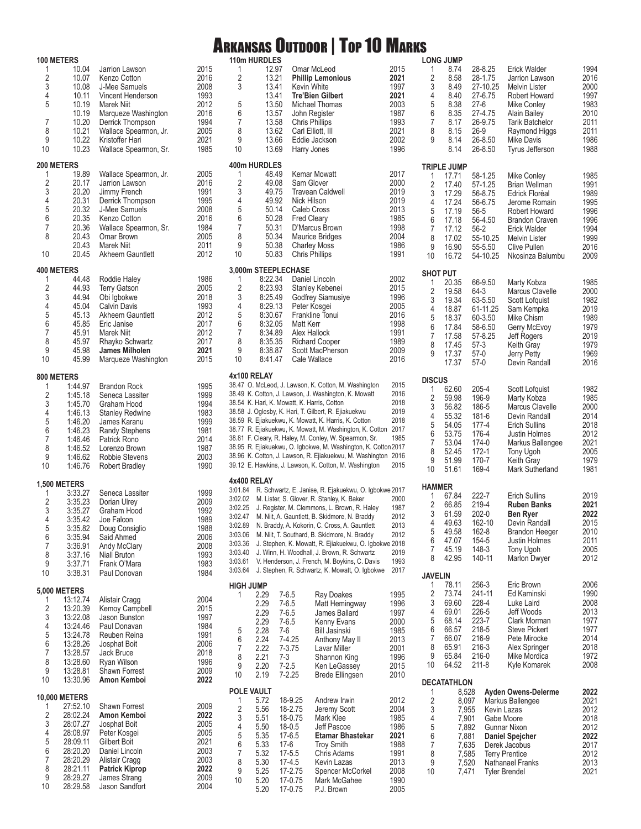## Arkansas Outdoor | Top 10 Marks **LONG HIMP**

|                                       | <b>100 METERS</b>               |                                    |              |                   | 110m HURDLES       |                     |                                                                |              |
|---------------------------------------|---------------------------------|------------------------------------|--------------|-------------------|--------------------|---------------------|----------------------------------------------------------------|--------------|
| 1                                     | 10.04                           | Jarrion Lawson                     | 2015         | 1                 |                    | 12.97               | Omar McLeod                                                    | 2015         |
| $\overline{c}$                        | 10.07                           | Kenzo Cotton                       | 2016         | $\overline{2}$    |                    | 13.21               | <b>Phillip Lemonious</b>                                       | 2021         |
| 3                                     | 10.08                           | J-Mee Samuels                      | 2008         | 3                 |                    | 13.41               | <b>Kevin White</b>                                             | 1997         |
| $\overline{4}$                        | 10.11                           | Vincent Henderson                  | 1993         |                   |                    | 13.41               | <b>Tre'Bien Gilbert</b>                                        | 2021         |
| 5                                     | 10.19                           | Marek Niit                         | 2012         | 5                 |                    | 13.50               | Michael Thomas                                                 | 2003         |
|                                       | 10.19                           | Marqueze Washington                | 2016         | 6                 |                    | 13.57               | John Register                                                  | 1987         |
| 7                                     | 10.20                           | Derrick Thompson                   | 1994         | 7                 |                    | 13.58               | <b>Chris Phillips</b>                                          | 1993         |
| 8                                     | 10.21                           | Wallace Spearmon, Jr.              | 2005         | 8                 |                    | 13.62               | Carl Elliott, III                                              | 2021         |
| 9                                     | 10.22                           | Kristoffer Hari                    | 2021         | 9                 |                    | 13.66               | Eddie Jackson                                                  | 2002         |
| 10                                    | 10.23                           | Wallace Spearmon, Sr.              | 1985         | 10                |                    | 13.69               | Harry Jones                                                    | 1996         |
|                                       |                                 |                                    |              |                   |                    |                     |                                                                |              |
| 1                                     | 200 METERS<br>19.89             | Wallace Spearmon, Jr.              | 2005         | 400m HURDLES<br>1 |                    | 48.49               | Kemar Mowatt                                                   | 2017         |
| $\sqrt{2}$                            | 20.17                           | Jarrion Lawson                     | 2016         | 2                 |                    | 49.08               | Sam Glover                                                     | 2000         |
| 3                                     | 20.20                           | Jimmy French                       | 1991         | 3                 |                    | 49.75               | <b>Travean Caldwell</b>                                        | 2019         |
| $\overline{4}$                        | 20.31                           | Derrick Thompson                   | 1995         | 4                 |                    | 49.92               | Nick Hilson                                                    | 2019         |
| 5                                     | 20.32                           | J-Mee Samuels                      | 2008         | $\sqrt{5}$        |                    | 50.14               | Caleb Cross                                                    | 2013         |
| $\boldsymbol{6}$                      | 20.35                           | Kenzo Cotton                       | 2016         | 6                 |                    | 50.28               | <b>Fred Cleary</b>                                             | 1985         |
| $\overline{7}$                        | 20.36                           | Wallace Spearmon, Sr.              | 1984         | $\overline{7}$    |                    | 50.31               | D'Marcus Brown                                                 | 1998         |
| 8                                     | 20.43                           | Omar Brown                         | 2005         | 8                 |                    | 50.34               | Maurice Bridges                                                | 2004         |
|                                       | 20.43                           | Marek Niit                         | 2011         | 9                 |                    | 50.38               | <b>Charley Moss</b>                                            | 1986         |
| 10                                    | 20.45                           | Akheem Gauntlett                   | 2012         | 10                | 50.83              |                     | <b>Chris Phillips</b>                                          | 1991         |
|                                       |                                 |                                    |              |                   |                    |                     |                                                                |              |
|                                       | <b>400 METERS</b>               |                                    |              |                   |                    | 3,000m STEEPLECHASE |                                                                |              |
| 1                                     | 44.48                           | Roddie Haley                       | 1986         | 1                 | 8:22.34            |                     | Daniel Lincoln                                                 | 2002         |
| $\sqrt{2}$                            | 44.93<br>44.94                  | <b>Terry Gatson</b>                | 2005         | $\sqrt{2}$        | 8:23.93            |                     | Stanley Kebenei                                                | 2015         |
| $\frac{3}{4}$                         | 45.04                           | Obi Igbokwe<br><b>Calvin Davis</b> | 2018<br>1993 | 3<br>4            | 8:25.49<br>8:29.13 |                     | Godfrey Siamusiye<br>Peter Kosgei                              | 1996<br>2005 |
|                                       | 45.13                           | Akheem Gauntlett                   | 2012         | 5                 | 8:30.67            |                     | Frankline Tonui                                                | 2016         |
| $\begin{array}{c} 5 \\ 6 \end{array}$ | 45.85                           | Eric Janise                        | 2017         | 6                 | 8:32.05            |                     | Matt Kerr                                                      | 1998         |
| $\boldsymbol{7}$                      | 45.91                           | Marek Niit                         | 2012         | 7                 | 8:34.89            |                     | Alex Hallock                                                   | 1991         |
| 8                                     | 45.97                           | Rhayko Schwartz                    | 2017         | 8                 | 8:35.35            |                     | <b>Richard Cooper</b>                                          | 1989         |
| 9                                     | 45.98                           | <b>James Milholen</b>              | 2021         | 9                 | 8:38.87            |                     | Scott MacPherson                                               | 2009         |
| 10                                    | 45.99                           | Marqueze Washington                | 2015         | 10                | 8:41.47            |                     | Cale Wallace                                                   | 2016         |
|                                       |                                 |                                    |              |                   |                    |                     |                                                                |              |
|                                       | 800 METERS                      |                                    |              | 4x100 RELAY       |                    |                     |                                                                |              |
| 1                                     | 1:44.97                         | <b>Brandon Rock</b>                | 1995         |                   |                    |                     | 38.47 O. McLeod, J. Lawson, K. Cotton, M. Washington           | 2015         |
| 2                                     | 1:45.18                         | Seneca Lassiter                    | 1999         |                   |                    |                     | 38.49 K. Cotton, J. Lawson, J. Washington, K. Mowatt           | 2016         |
| 3                                     | 1:45.70                         | Graham Hood                        | 1994         |                   |                    |                     | 38.54 K. Hari, K. Mowatt, K. Harris, Cotton                    | 2018         |
| $\overline{4}$                        | 1:46.13                         | <b>Stanley Redwine</b>             | 1983         |                   |                    |                     | 38.58 J. Oglesby, K. Hari, T. Gilbert, R. Ejiakuekwu           | 2019         |
| 5                                     | 1:46.20                         | James Karanu                       | 1999         |                   |                    |                     | 38.59 R. Ejiakuekwu, K. Mowatt, K. Harris, K. Cotton           | 2018         |
| 6                                     | 1:46.23                         | Randy Stephens                     | 1981         |                   |                    |                     | 38.77 R. Ejiakuekwu, K. Mowatt, M. Washington, K. Cotton       | 2017         |
| $\overline{7}$                        | 1:46.46                         | Patrick Rono                       | 2014         |                   |                    |                     | 38.81 F. Cleary, R. Haley, M. Conley, W. Spearmon, Sr.         | 1985         |
| 8                                     | 1:46.52                         | Lorenzo Brown                      | 1987         |                   |                    |                     | 38.95 R. Ejiakuekwu, O. Igbokwe, M. Washington, K. Cotton 2017 |              |
| 9                                     | 1:46.62                         | Robbie Stevens                     | 2003         |                   |                    |                     | 38.96 K. Cotton, J. Lawson, R. Ejiakuekwu, M. Washington 2016  | 2015         |
| 10                                    | 1:46.76                         | Robert Bradley                     | 1990         |                   |                    |                     | 39.12 E. Hawkins, J. Lawson, K. Cotton, M. Washington          |              |
|                                       | <b>1,500 METERS</b>             |                                    |              | 4x400 RELAY       |                    |                     |                                                                |              |
| 1                                     | 3:33.27                         | Seneca Lassiter                    | 1999         |                   |                    |                     | 3:01.84 R. Schwartz, E. Janise, R. Ejakuekwu, O. Igbokwe 2017  |              |
|                                       | 3:35.23                         | Dorian Ulrey                       | 2009         |                   |                    |                     | 3:02.02 M. Lister, S. Glover, R. Stanley, K. Baker             | 2000         |
| $\frac{2}{3}$                         | 3:35.27                         | Graham Hood                        | 1992         | 3:02.25           |                    |                     | J. Register, M. Clemmons, L. Brown, R. Haley                   | 1987         |
| 4                                     | 3:35.42                         | Joe Falcon                         | 1989         | 3:02.47           |                    |                     | M. Niit, A. Gauntlett, B. Skidmore, N. Braddy                  | 2012         |
| 5                                     | 3:35.82                         | Doug Consiglio                     | 1988         | 3:02.89           |                    |                     | N. Braddy, A. Kokorin, C. Cross, A. Gauntlett                  | 2013         |
| 6                                     | 3:35.94                         | Said Ahmed                         | 2006         | 3:03.06           |                    |                     | M. Niit, T. Southard, B. Skidmore, N. Braddy                   | 2012         |
| $\boldsymbol{7}$                      | 3:36.91                         | Andy McClary                       | 2008         | 3:03.36           |                    |                     | J. Stephen, K. Mowatt, R. Ejiakuekwu, O. Igbokwe 2018          |              |
| 8                                     | 3:37.16                         | Niall Bruton                       | 1993         | 3:03.40           |                    |                     | J. Winn, H. Woodhall, J. Brown, R. Schwartz                    | 2019         |
| 9                                     | 3:37.71                         | Frank O'Mara                       | 1983         | 3:03.61           |                    |                     | V. Henderson, J. French, M. Boykins, C. Davis                  | 1993         |
| 10                                    | 3:38.31                         | Paul Donovan                       | 1984         | 3:03.64           |                    |                     | J. Stephen, R. Schwartz, K. Mowatt, O. Igbokwe                 | 2017         |
|                                       |                                 |                                    |              | <b>HIGH JUMP</b>  |                    |                     |                                                                |              |
| 1                                     | <b>5,000 METERS</b><br>13:12.74 | Alistair Cragg                     | 2004         | 1                 | 2.29               | $7 - 6.5$           | <b>Ray Doakes</b>                                              | 1995         |
| $\sqrt{2}$                            | 13:20.39                        |                                    |              |                   | 2.29               | $7 - 6.5$           | Matt Hemingway                                                 | 1996         |
| 3                                     | 13:22.08                        | Kemoy Campbell<br>Jason Bunston    | 2015<br>1997 |                   | 2.29               | $7 - 6.5$           | James Ballard                                                  | 1997         |
| $\ddot{4}$                            | 13:24.46                        | Paul Donavan                       | 1984         |                   | 2.29               | $7-6.5$             | Kenny Evans                                                    | 2000         |
|                                       | 13:24.78                        | Reuben Reina                       | 1991         | 5                 | 2.28               | $7-6$               | <b>Bill Jasinski</b>                                           | 1985         |
| $\begin{array}{c} 5 \\ 6 \end{array}$ | 13:28.26                        | Josphat Boit                       | 2006         | 6                 | 2.24               | $7-4.25$            | Anthony May II                                                 | 2013         |
| $\overline{\mathfrak{c}}$             | 13:28.57                        | Jack Bruce                         | 2018         | $\overline{7}$    | 2.22               | 7-3.75              | Lavar Miller                                                   | 2001         |
| $\bf 8$                               | 13:28.60                        | Ryan Wilson                        | 1996         | 8                 | 2.21               | 7-3                 | Shannon King                                                   | 1996         |
| 9                                     | 13:28.81                        | Shawn Forrest                      | 2009         | 9                 | 2.20               | $7 - 2.5$           | Ken LeGassey                                                   | 2015         |
| 10                                    | 13:30.96                        | Amon Kemboi                        | 2022         | 10                | 2.19               | $7 - 2.25$          | <b>Brede Ellingsen</b>                                         | 2010         |
|                                       |                                 |                                    |              | POLE VAULT        |                    |                     |                                                                |              |
|                                       | <b>10,000 METERS</b>            |                                    |              | 1                 | 5.72               | 18-9.25             | Andrew Irwin                                                   | 2012         |
| 1                                     | 27:52.10                        | Shawn Forrest                      | 2009         | $\sqrt{2}$        | 5.56               | 18-2.75             | Jeremy Scott                                                   | 2004         |
| $\overline{\mathbf{c}}$               | 28:02.24                        | Amon Kemboi                        | 2022         | 3                 | 5.51               | 18-0.75             | Mark Klee                                                      | 1985         |
| 3                                     | 28:07.27                        | Josphat Boit                       | 2005         | 4                 | 5.50               | $18 - 0.5$          | Jeff Pascoe                                                    | 1986         |
| $\ddot{4}$                            | 28:08.97                        | Peter Kosgei                       | 2005         | 5                 | 5.35               | 17-6.5              | Etamar Bhastekar                                               | 2021         |
| $\begin{array}{c} 5 \\ 6 \end{array}$ | 28:09.11                        | Gilbert Boit                       | 2021         | 6                 | 5.33               | $17-6$              | <b>Troy Smith</b>                                              | 1988         |
|                                       | 28:20.20                        | Daniel Lincoln                     | 2003         | 7                 | 5.32               | $17 - 5.5$          | Chris Adams                                                    | 1991         |
| $\overline{\mathfrak{c}}$             | 28:20.29                        | Alistair Cragg                     | 2003         | 8                 | 5.30               | $17-4.5$            | Kevin Lazas                                                    | 2013         |
| 8                                     | 28:21.11                        | <b>Patrick Kiprop</b>              | 2022         | 9                 | 5.25               | 17-2.75             | Spencer McCorkel                                               | 2008         |
| 9<br>10                               | 28:29.27<br>28:29.58            | James Strang<br>Jason Sandfort     | 2009<br>2004 | 10                | 5.20               | 17-0.75             | Mark McGahee                                                   | 1990         |
|                                       |                                 |                                    |              |                   | 5.20               | 17-0.75             | P.J. Brown                                                     | 2005         |

|                                                              | <b>LONG JUMP</b>                                                                       |                                                                                                        |                                                                                                                                                                                                      |                                                                              |
|--------------------------------------------------------------|----------------------------------------------------------------------------------------|--------------------------------------------------------------------------------------------------------|------------------------------------------------------------------------------------------------------------------------------------------------------------------------------------------------------|------------------------------------------------------------------------------|
| 1<br>2<br>3<br>4<br>5<br>6<br>7<br>8<br>9                    | 8.74<br>8.58<br>8.49<br>8.40<br>8.38<br>8.35<br>8.17<br>8.15<br>8.14<br>8.14           | 28-8.25<br>28-1.75<br>27-10.25<br>27-6.75<br>27-6<br>27-4.75<br>26-9.75<br>26-9<br>26-8.50<br>26-8.50  | Erick Walder<br>Jarrion Lawson<br><b>Melvin Lister</b><br>Robert Howard<br>Mike Conley<br>Alain Bailey<br><b>Tarik Batchelor</b><br>Raymond Higgs<br>Mike Davis<br>Tyrus Jefferson                   | 1994<br>2016<br>2000<br>1997<br>1983<br>2010<br>2011<br>2011<br>1986<br>1988 |
|                                                              | <b>TRIPLE JUMP</b>                                                                     |                                                                                                        |                                                                                                                                                                                                      |                                                                              |
| 1<br>$\overline{2}$<br>3<br>4<br>5<br>6<br>7<br>8<br>9<br>10 | 17.71<br>17.40<br>17.29<br>17.24<br>17.19<br>17.18<br>17.12<br>17.02<br>16.90<br>16.72 | 58-1.25<br>57-1.25<br>56-8.75<br>56-6.75<br>56-5<br>56-4.50<br>56-2<br>55-10.25<br>55-5.50<br>54-10.25 | Mike Conley<br><b>Brian Wellman</b><br>Edrick Florèal<br>Jerome Romain<br>Robert Howard<br><b>Brandon Craven</b><br><b>Erick Walder</b><br>Melvin Lister<br>Clive Pullen<br>Nkosinza Balumbu         | 1985<br>1991<br>1989<br>1995<br>1996<br>1996<br>1994<br>1999<br>2016<br>2009 |
| <b>SHOT PUT</b>                                              |                                                                                        |                                                                                                        |                                                                                                                                                                                                      |                                                                              |
| 1<br>$\overline{2}$<br>3<br>4<br>5<br>6<br>7<br>8<br>9       | 20.35<br>19.58<br>19.34<br>18.87<br>18.37<br>17.84<br>17.58<br>17.45<br>17.37<br>17.37 | 66-9.50<br>64-3<br>63-5.50<br>61-11.25<br>60-3.50<br>58-6.50<br>57-8.25<br>57-3<br>57-0<br>57-0        | Marty Kobza<br>Marcus Clavelle<br><b>Scott Lofguist</b><br>Sam Kempka<br>Mike Chism<br>Gerry McEvoy<br>Jeff Rogers<br>Keith Gray<br>Jerry Petty<br>Devin Randall                                     | 1985<br>2000<br>1982<br>2019<br>1989<br>1979<br>2019<br>1979<br>1969<br>2016 |
| <b>DISCUS</b>                                                |                                                                                        |                                                                                                        |                                                                                                                                                                                                      |                                                                              |
| 1<br>$\overline{2}$<br>3<br>4<br>5<br>6<br>7<br>8<br>9<br>10 | 62.60<br>59.98<br>56.82<br>55.32<br>54.05<br>53.75<br>53.04<br>52.45<br>51.99<br>51.61 | 205-4<br>196-9<br>186-5<br>181-6<br>177-4<br>176-4<br>174-0<br>172-1<br>170-7<br>169-4                 | Scott Lofquist<br>Marty Kobza<br>Marcus Clavelle<br>Devin Randall<br>Erich Sullins<br>Justin Holmes<br>Markus Ballengee<br>Tony Ugoh<br>Keith Gray<br>Mark Sutherland                                | 1982<br>1985<br>2000<br>2014<br>2018<br>2012<br>2021<br>2005<br>1979<br>1981 |
| <b>HAMMER</b>                                                |                                                                                        |                                                                                                        |                                                                                                                                                                                                      |                                                                              |
| 1<br>2<br>3<br>4<br>5<br>6<br>7<br>8                         | 67.84<br>66.85<br>61.59<br>49.63<br>49.58<br>47.07<br>45.19<br>42.95                   | 222-7<br>219-4<br>202-0<br>162-10<br>162-8<br>154-5<br>148-3<br>140-11                                 | <b>Erich Sullins</b><br><b>Ruben Banks</b><br><b>Ben Ryer</b><br>Devin Randall<br>Brandon Heeger<br>Justin Holmes<br>Tony Ugoh<br><b>Marlon Dwyer</b>                                                | 2019<br>2021<br>2022<br>2015<br>2010<br>2011<br>2005<br>2012                 |
| <b>JAVELIN</b>                                               |                                                                                        |                                                                                                        |                                                                                                                                                                                                      |                                                                              |
| 1<br>$\overline{2}$<br>3<br>4<br>5<br>6<br>7<br>8<br>9<br>10 | 78.11<br>73.74<br>69.60<br>69.01<br>68.14<br>66.57<br>66.07<br>65.91<br>65.84<br>64.52 | 256-3<br>241-11<br>228-4<br>226-5<br>223-7<br>218-5<br>216-9<br>216-3<br>216-0<br>211-8                | Eric Brown<br>Ed Kaminski<br>Luke Laird<br>Jeff Woods<br><b>Clark Morman</b><br>Steve Pickert<br>Pete Mirocke<br>Alex Springer<br>Mike Mordica<br>Kyle Komarek                                       | 2006<br>1990<br>2008<br>2013<br>1977<br>1977<br>2014<br>2018<br>1972<br>2008 |
|                                                              | DECATATHLON                                                                            |                                                                                                        |                                                                                                                                                                                                      |                                                                              |
| 1<br>$\overline{c}$<br>3<br>4<br>5<br>6<br>7<br>8<br>9<br>10 | 8,528<br>8,097<br>7,955<br>7,901<br>7,892<br>7,881<br>7,635<br>7,585<br>7,520<br>7,471 |                                                                                                        | Ayden Owens-Delerme<br>Markus Ballengee<br>Kevin Lazas<br>Gabe Moore<br>Gunnar Nixon<br><b>Daniel Spejcher</b><br>Derek Jacobus<br><b>Terry Prentice</b><br>Nathanael Franks<br><b>Tyler Brendel</b> | 2022<br>2021<br>2012<br>2018<br>2012<br>2022<br>2017<br>2012<br>2013<br>2021 |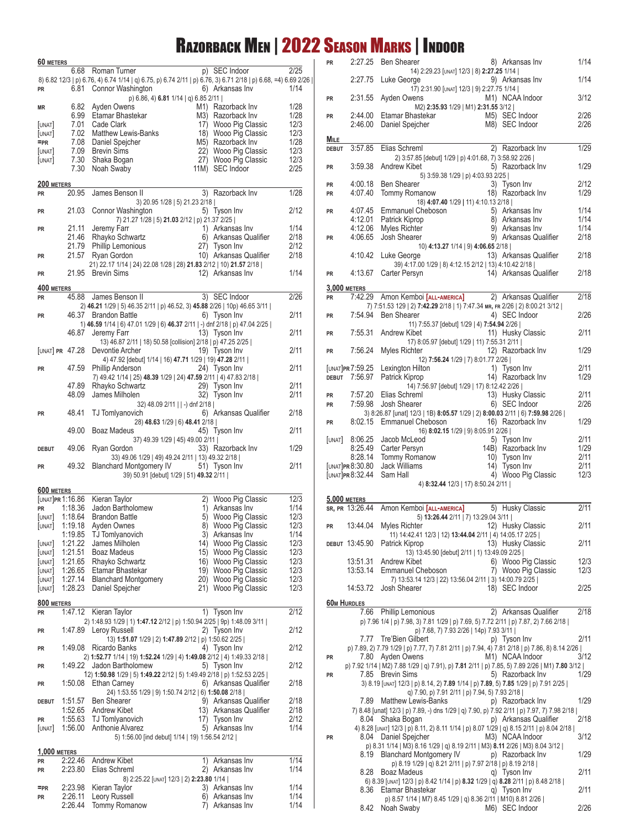## Razorback Men | 2022 Season Marks | Indoor

| 60 METERS           | 6.68                     | p) SEC Indoor<br>Roman Turner                                                                                 | 2/25         |
|---------------------|--------------------------|---------------------------------------------------------------------------------------------------------------|--------------|
|                     |                          | 8) 6.82 12/3   p) 6.76, 4) 6.74 1/14   q) 6.75, p) 6.74 2/11   p) 6.76, 3) 6.71 2/18   p) 6.68, =4) 6.69 2/26 |              |
| <b>PR</b>           | 6.81                     | Connor Washington<br>6) Arkansas Inv                                                                          | 1/14         |
|                     |                          | p) 6.86, 4) 6.81 1/14   q) 6.85 2/11                                                                          |              |
| ΜR                  | 6.82                     | Ayden Owens<br>M <sub>1</sub> ) Razorback Inv                                                                 | 1/28         |
|                     | 6.99                     | Etamar Bhastekar<br>M3) Razorback Inv                                                                         | 1/28         |
| [UNAT]              | 7.01                     | Cade Clark<br>17) Wooo Pig Classic                                                                            | 12/3         |
| [UNAT]              |                          | 7.02 Matthew Lewis-Banks<br>18) Wooo Pig Classic                                                              | 12/3         |
| $=$ PR<br>[UNAT]    | 7.08<br>7.09             | Daniel Spejcher<br>M5) Razorback Inv<br><b>Brevin Sims</b><br>22) Wooo Pig Classic                            | 1/28<br>12/3 |
| [UNAT]              | 7.30                     | Shaka Bogan<br>27) Wooo Pig Classic                                                                           | 12/3         |
|                     | 7.30                     | Noah Swaby<br>11M) SEC Indoor                                                                                 | 2/25         |
|                     |                          |                                                                                                               |              |
| 200 METERS          | 20.95                    | James Benson II                                                                                               |              |
| <b>PR</b>           |                          | 3) Razorback Inv<br>3) 20.95 1/28   5) 21.23 2/18                                                             | 1/28         |
| PR                  | 21.03                    | Connor Washington<br>5) Tyson Inv                                                                             | 2/12         |
|                     |                          | 7) 21.27 1/28   5) 21.03 2/12   p) 21.37 2/25                                                                 |              |
| <b>PR</b>           | 21.11                    | Jeremy Farr<br>1) Arkansas Inv                                                                                | 1/14         |
|                     | 21.46                    | Rhayko Schwartz<br>6) Arkansas Qualifier                                                                      | 2/18         |
|                     | 21.79                    | Phillip Lemonious<br>27) Tyson Inv                                                                            | 2/12         |
| <b>PR</b>           | 21.57                    | Ryan Gordon<br>10) Arkansas Qualifier                                                                         | 2/18         |
|                     |                          | 21) 22.17 1/14   24) 22.08 1/28   28) 21.83 2/12   10) 21.57 2/18                                             | 1/14         |
| PR                  | 21.95                    | 12) Arkansas Inv<br><b>Brevin Sims</b>                                                                        |              |
| 400 METERS          |                          |                                                                                                               |              |
| <b>PR</b>           | 45.88                    | 3) SEC Indoor<br>James Benson II                                                                              | 2/26         |
|                     |                          | 2) 46.21 1/29   5) 46.35 2/11   p) 46.52, 3) 45.88 2/26   10p) 46.65 3/11                                     |              |
| <b>PR</b>           | 46.37                    | 6) Tyson Inv<br><b>Brandon Battle</b>                                                                         | 2/11         |
|                     |                          | 1) 46.59 1/14   6) 47.01 1/29   6) 46.37 2/11   -) dnf 2/18   p) 47.04 2/25                                   | 2/11         |
|                     | 46.87                    | Jeremy Farr<br>13) Tyson Inv<br>13) 46.87 2/11   18) 50.58 [collision] 2/18   p) 47.25 2/25                   |              |
|                     | [unat] <b>pr</b> 47.28   | Devontie Archer<br>19) Tyson Inv                                                                              | 2/11         |
|                     |                          | 4) 47.92 [debut] 1/14   16) 47.71 1/29   19) 47.28 2/11                                                       |              |
| <b>PR</b>           | 47.59                    | Phillip Anderson<br>24) Tyson Inv                                                                             | 2/11         |
|                     |                          | 7) 49.42 1/14   25) 48.39 1/29   24) 47.59 2/11   4) 47.83 2/18                                               |              |
|                     | 47.89                    | Rhayko Schwartz<br>29) Tyson Inv                                                                              | 2/11         |
|                     | 48.09                    | James Milholen<br>32) Tyson Inv                                                                               | 2/11         |
|                     | 48.41                    | 32) 48.09 2/11     -) dnf 2/18  <br>6) Arkansas Qualifier                                                     | 2/18         |
| PR                  |                          | <b>TJ</b> Tomlyanovich<br>28) 48.63 1/29   6) 48.41 2/18                                                      |              |
|                     | 49.00                    | Boaz Madeus<br>45) Tyson Inv                                                                                  | 2/11         |
|                     |                          | 37) 49.39 1/29   45) 49.00 2/11                                                                               |              |
| <b>DEBUT</b>        | 49.06                    | Ryan Gordon<br>33) Razorback Inv                                                                              | 1/29         |
|                     |                          | 33) 49.06 1/29   49) 49.24 2/11   13) 49.32 2/18                                                              |              |
| <b>PR</b>           | 49.32                    | <b>Blanchard Montgomery IV</b><br>51) Tyson Inv                                                               | 2/11         |
|                     |                          | 39) 50.91 [debut] 1/29   51) 49.32 2/11                                                                       |              |
| 600 METERS          |                          |                                                                                                               |              |
|                     | [unat] <b>pr</b> 1:16.86 | 2) Wooo Pig Classic<br>Kieran Taylor                                                                          | 12/3         |
| <b>PR</b>           | 1:18.36                  | Jadon Bartholomew<br>1)<br>Arkansas Inv                                                                       | 1/14         |
| [UNAT]              | 1:18.64                  | <b>Brandon Battle</b><br>Wooo Pig Classic<br>5)                                                               | 12/3         |
| [UNAT]              | 1:19.18                  | Ayden Ownes<br>8) Wooo Pig Classic                                                                            | 12/3         |
| <b>UNAT</b>         | 1:19.85<br>1:21.22       | 3) Arkansas Inv<br>TJ Tomlyanovich<br>James Milholen<br>14) Wooo Pig Classic                                  | 1/14<br>12/3 |
| [UNAT]              | 1:21.51                  | Boaz Madeus<br>15) Wooo Pig Classic                                                                           | 12/3         |
| [UNAT]              | 1:21.65                  | Rhayko Schwartz<br>16) Wooo Pig Classic                                                                       | 12/3         |
| [UNAT]              | 1:26.65                  | Etamar Bhastekar<br>19) Wooo Pig Classic                                                                      | 12/3         |
| [UNAT]              | 1:27.14                  | <b>Blanchard Montgomery</b><br>20) Wooo Pig Classic                                                           | 12/3         |
| [UNAT]              | 1:28.23                  | 21) Wooo Pig Classic<br>Daniel Spejcher                                                                       | 12/3         |
| 800 METERS          |                          |                                                                                                               |              |
| <b>PR</b>           | 1:47.12                  | 1) Tyson Inv<br>Kieran Taylor                                                                                 | 2/12         |
|                     |                          | 2) 1:48.93 1/29   1) 1:47.12 2/12   p) 1:50.94 2/25   9p) 1:48.09 3/11                                        |              |
| PR                  | 1:47.89                  | Leroy Russell<br>2) Tyson Inv                                                                                 | 2/12         |
|                     |                          | 13) 1:51.07 1/29   2) 1:47.89 2/12   p) 1:50.62 2/25                                                          |              |
| PR                  | 1:49.08                  | Ricardo Banks<br>4) Tyson Inv                                                                                 | 2/12         |
|                     |                          | 2) 1:52.77 1/14   19) 1:52.24 1/29   4) 1:49.08 2/12   4) 1:49.33 2/18                                        |              |
| PR                  | 1:49.22                  | Jadon Bartholomew<br>5) Tyson Inv<br>12) 1:50.98 1/29   5) 1:49.22 2/12   5) 1:49.49 2/18   p) 1:52.53 2/25   | 2/12         |
| PR                  | 1:50.08                  | 6) Arkansas Qualifier<br>Ethan Carney                                                                         | 2/18         |
|                     |                          | 24) 1:53.55 1/29   9) 1:50.74 2/12   6) 1:50.08 2/18                                                          |              |
| <b>DEBUT</b>        | 1:51.57                  | <b>Ben Shearer</b><br>9) Arkansas Qualifier                                                                   | 2/18         |
|                     | 1:52.65                  | Andrew Kibet<br>13) Arkansas Qualifier                                                                        | 2/18         |
| <b>PR</b>           | 1:55.63                  | TJ Tomlyanovich<br>17) Tyson Inv                                                                              | 2/12         |
| [UNAT]              | 1:56.00                  | Anthonie Alvarez<br>5) Arkansas Inv                                                                           | 1/14         |
|                     |                          | 5) 1:56.00 [ind debut] 1/14   19) 1:56.54 2/12                                                                |              |
| <b>1,000 METERS</b> |                          |                                                                                                               |              |
| PR                  | 2:22.46                  | <b>Andrew Kibet</b><br>1) Arkansas Inv                                                                        | 1/14         |
| PR                  | 2:23.80                  | Elias Schreml<br>2) Arkansas Inv                                                                              | 1/14         |
| $=$ PR              | 2:23.98                  | 8) 2:25.22 [UNAT] 12/3   2) 2:23.80 1/14  <br>Kieran Taylor<br>3) Arkansas Inv                                | 1/14         |
| PR                  | 2:26.11                  | Leory Russell<br>6) Arkansas Inv                                                                              | 1/14         |
|                     | 2:26.44                  | <b>Tommy Romanow</b><br>7) Arkansas Inv                                                                       | 1/14         |

| <b>PR</b>    | 2:27.25                    | <b>Ben Shearer</b><br>8) Arkansas Inv                                                                                                | 1/14         |
|--------------|----------------------------|--------------------------------------------------------------------------------------------------------------------------------------|--------------|
|              | 2:27.75                    | 14) 2:29.23 [UNAT] 12/3   8) 2:27.25 1/14  <br>9) Arkansas Inv<br>Luke George                                                        | 1/14         |
|              |                            | 17) 2:31.90 [UNAT] 12/3   9) 2:27.75 1/14                                                                                            |              |
| PR           | 2:31.55                    | Ayden Owens<br>M1) NCAA Indoor<br>M2) 2:35.93 1/29   M1) 2:31.55 3/12                                                                | 3/12         |
| <b>PR</b>    | 2:44.00                    | M5) SEC Indoor<br>Etamar Bhastekar                                                                                                   | 2/26         |
|              | 2:46.00                    | Daniel Spejcher<br>M8) SEC Indoor                                                                                                    | 2/26         |
| MILE         |                            |                                                                                                                                      |              |
| <b>DEBUT</b> | 3:57.85                    | Elias Schreml<br>2) Razorback Inv<br>2) 3:57.85 [debut] 1/29   p) 4:01.68, 7) 3:58.92 2/26                                           | 1/29         |
| <b>PR</b>    | 3:59.38                    | Andrew Kibet<br>5) Razorback Inv<br>5) 3:59.38 1/29   p) 4:03.93 2/25                                                                | 1/29         |
| PR           | 4:00.18                    | Ben Shearer<br>3) Tyson Inv                                                                                                          | 2/12         |
| <b>PR</b>    | 4:07.40                    | Tommy Romanow<br>18) Razorback Inv<br>18) 4:07.40 1/29   11) 4:10.13 2/18                                                            | 1/29         |
| PR           | 4:07.45                    | Emmanuel Cheboson<br>5) Arkansas Inv                                                                                                 | 1/14         |
|              | 4:12.01                    | Patrick Kiprop<br>8) Arkansas Inv                                                                                                    | 1/14         |
|              | 4:12.06                    | Myles Richter<br>9) Arkansas Inv                                                                                                     | 1/14         |
| PR           | 4:06.65                    | Josh Shearer<br>9) Arkansas Qualifier<br>10) 4:13.27 1/14   9) 4:06.65 2/18                                                          | 2/18         |
|              | 4:10.42                    | 13) Arkansas Qualifier<br>Luke George                                                                                                | 2/18         |
| <b>PR</b>    | 4:13.67                    | 39) 4:17.00 1/29   8) 4:12.15 2/12   13) 4:10.42 2/18  <br>Carter Persyn<br>14) Arkansas Qualifier                                   | 2/18         |
|              | <b>3,000 METERS</b>        |                                                                                                                                      |              |
| <b>PR</b>    | 7:42.29                    | Amon Kemboi [ALL-AMERICA]<br>2) Arkansas Qualifier                                                                                   | 2/18         |
|              |                            | 7) 7:51.53 129   2) 7:42.29 2/18   1) 7:47.34 MR, FR 2/26   2) 8:00.21 3/12                                                          |              |
| <b>PR</b>    | 7:54.94                    | <b>Ben Shearer</b><br>4) SEC Indoor<br>11) 7:55.37 [debut] 1/29   4) 7:54.94 2/26                                                    | 2/26         |
| <b>PR</b>    | 7:55.31                    | Andrew Kibet<br>11) Husky Classic                                                                                                    | 2/11         |
| <b>PR</b>    | 7:56.24                    | 17) 8:05.97 [debut] 1/29   11) 7:55.31 2/11  <br>Myles Richter<br>12) Razorback Inv                                                  | 1/29         |
|              |                            | 12) 7:56.24 1/29   7) 8:01.77 2/26                                                                                                   |              |
|              | [UNAT] <b>PR</b> 7:59.25   | Lexington Hilton<br>1) Tyson Inv                                                                                                     | 2/11         |
|              | DEBUT 7:56.97              | Patrick Kiprop<br>14) Razorback Inv<br>14) 7:56.97 [debut] 1/29   17) 8:12.42 2/26                                                   | 1/29         |
| <b>PR</b>    | 7:57.20                    | Elias Schreml<br>13) Husky Classic                                                                                                   | 2/11         |
| PR           | 7:59.98                    | Josh Shearer<br>6) SEC Indoor                                                                                                        | 2/26         |
| <b>PR</b>    | 8:02.15                    | 3) 8:26.87 [unat] 12/3   1B) 8:05.57 1/29   2) 8:00.03 2/11   6) 7:59.98 2/26  <br>Emmanuel Cheboson<br>16) Razorback Inv            | 1/29         |
|              |                            | 16) 8:02.15 1/29   9) 8:05.91 2/26                                                                                                   |              |
| [UNAT]       | 8:06.25                    | Jacob McLeod<br>5) Tyson Inv                                                                                                         | 2/11         |
|              | 8:25.49<br>8:28.14         | 14B) Razorback Inv<br>Carter Persyn<br><b>Tommy Romanow</b><br>10) Tyson Inv                                                         | 1/29<br>2/11 |
|              | [UNAT] <b>PR</b> 8:30.80   | <b>Jack Williams</b><br>14) Tyson Inv                                                                                                | 2/11         |
|              | [UNAT] PR 8:32.44          | Sam Hall<br>4) Wooo Pig Classic                                                                                                      | 12/3         |
|              |                            | 4) 8:32.44 12/3   17) 8:50.24 2/11                                                                                                   |              |
|              | 5,000 METERS               |                                                                                                                                      |              |
|              | sr, pr 13:26.44            | Amon Kemboi [ALL-AMERICA]<br>5) Husky Classic                                                                                        | 2/11         |
| PR           |                            | 5) 13:26.44 2/11   7) 13:29.04 3/11  <br>13.44.04 Myles Richter 12) Husky Classic                                                    | 2/11         |
|              |                            | 11) 14:42.41 12/3   12) 13:44.04 2/11   4) 14:05.17 2/25                                                                             |              |
|              | DEBUT 13:45.90             | Patrick Kiprop<br>13) Husky Classic<br>13) 13:45.90 [debut] 2/11   1) 13:49.09 2/25                                                  | 2/11         |
|              | 13:51.31                   | Andrew Kibet<br>6) Wooo Pig Classic                                                                                                  | 12/3         |
|              | 13:53.14                   | Emmanuel Cheboson<br>7) Wooo Pig Classic                                                                                             | 12/3         |
|              | 14:53.72                   | 7) 13:53.14 12/3   22) 13:56.04 2/11   3) 14:00.79 2/25  <br>Josh Shearer                                                            | 2/25         |
|              |                            | 18) SEC Indoor                                                                                                                       |              |
|              | <b>60M HURDLES</b><br>7.66 | 2) Arkansas Qualifier<br>Phillip Lemonious                                                                                           | 2/18         |
|              |                            | p) 7.96 1/4   p) 7.98, 3) 7.81 1/29   p) 7.69, 5) 7.72 2/11   p) 7.87, 2) 7.66 2/18                                                  |              |
|              |                            | p) 7.68, 7) 7.93 2/26   14p) 7.93 3/11                                                                                               |              |
|              | 7.77                       | Tre'Bien Gilbert<br>p) Tyson Inv<br>p) 7.89, 2) 7.79 1/29   p) 7.77, 7) 7.81 2/11   p) 7.94, 4) 7.81 2/18   p) 7.86, 8) 8.14 2/26    | 2/11         |
| PR           | 7.80                       | Ayden Owens<br>M <sub>1</sub> ) NCAA Indoor                                                                                          | 3/12         |
|              |                            | p) 7.92 1/14   M2) 7.88 1/29   q) 7.91), p) 7.81 2/11   p) 7.85, 5) 7.89 2/26   M1) 7.80 3/12                                        |              |
| PR           |                            | 7.85 Brevin Sims<br>5) Razorback Inv<br>3) 8.19 [UNAT] 12/3   p) 8.14, 2) 7.89 1/14   p) 7.89, 5) 7.85 1/29   p) 7.91 2/25           | 1/29         |
|              |                            | q) 7.90, p) 7.91 2/11   p) 7.94, 5) 7.93 2/18                                                                                        |              |
|              | 7.89                       | <b>Matthew Lewis-Banks</b><br>p) Razorback Inv                                                                                       | 1/29         |
|              | 8.04                       | 7) 8.48 [unat] 12/3   p) 7.89, -) dns 1/29   q) 7.90, p) 7.92 2/11   p) 7.97, 7) 7.98 2/18  <br>Shaka Bogan<br>p) Arkansas Qualifier | 2/18         |
|              |                            | 4) 8.28 [UNAT] 12/3   p) 8.11, 2) 8.11 1/14   p) 8.07 1/29   q) 8.15 2/11   p) 8.04 2/18                                             |              |
| PR           |                            | 8.04 Daniel Spejcher<br>M3) NCAA Indoor<br>p) 8.31 1/14   M3) 8.16 1/29   q) 8.19 2/11   M3) 8.11 2/26   M3) 8.04 3/12               | 3/12         |
|              | 8.19                       | <b>Blanchard Montgomery IV</b><br>p) Razorback Inv                                                                                   | 1/29         |
|              | 8.28                       | p) 8.19 1/29   q) 8.21 2/11   p) 7.97 2/18   p) 8.19 2/18  <br>Boaz Madeus<br>q) Tyson Inv                                           | 2/11         |
|              |                            | 6) 8.39 [UNAT] 12/3   p) 8.42 1/14   p) 8.32 1/29   q) 8.28 2/11   p) 8.48 2/18                                                      |              |
|              | 8.36                       | Etamar Bhastekar<br>q) Tyson Inv                                                                                                     | 2/11         |
|              |                            | p) 8.57 1/14   M7) 8.45 1/29   q) 8.36 2/11   M10) 8.81 2/26  <br>8.42 Noah Swaby<br>M6) SEC Indoor                                  | 2/26         |
|              |                            |                                                                                                                                      |              |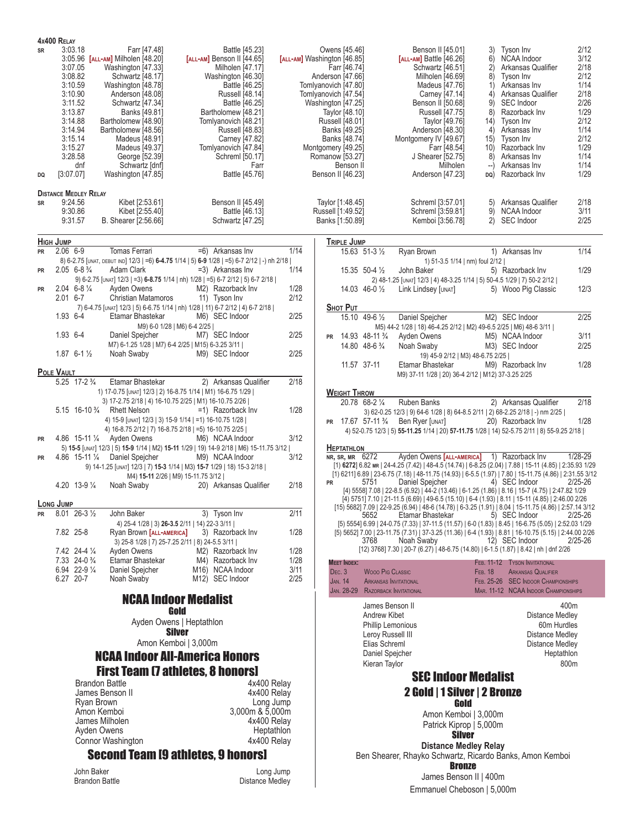| 4x400 RELAY<br>SR<br>DQ                                 | 3:03.18<br>3:07.05<br>3:08.82<br>3:10.59<br>3:10.90<br>3:11.52<br>3:13.87<br>3:14.88<br>3:14.94<br>3:15.14<br>3:15.27<br>3:28.58<br>dnf<br>[3:07.07]<br><b>DISTANCE MEDLEY RELAY</b> | Farr [47.48]<br>3:05.96 [ALL-AM] Milholen [48.20]<br>Washington [47.33]<br>Schwartz [48.17]<br>Washington [48.78]<br>Anderson [48.08]<br>Schwartz [47.34]<br>Banks [49.81]<br>Bartholomew [48.90]<br>Bartholomew [48.56]<br>Madeus [48.91]<br>Madeus [49.37]<br>George [52.39]<br>Schwartz [dnf]<br>Washington [47.85] | Battle [45.23]<br>[ALL-AM] Benson II [44.65]<br>Milholen [47.17]<br>Washington [46.30]<br>Battle [46.25]<br><b>Russell [48.14]</b><br>Battle [46.25]<br>Bartholomew [48.21]<br>Tomlyanovich [48.21]<br>Russell [48.83]<br>Carney [47.82]<br>Tomlyanovich [47.84]<br>Schreml [50.17]<br>Farr<br>Battle [45.76]                                                                                                                                                                                                                                                            |                                      | Owens [45.46]<br>[ALL-AM] Washington [46.85]<br>Farr [46.74]<br>Anderson [47.66]<br>Tomlyanovich [47.80]<br>Tomlyanovich [47.54]<br>Washington [47.25]<br>Taylor [48.10]<br>Russell [48.01]<br>Banks [49.25]<br>Banks [48.74]<br>Montgomery [49.25]<br>Romanow [53.27]<br>Benson II<br>Benson II [46.23] | Benson II [45.01]<br>$[ALL-AM]$ Battle $[46.26]$<br>Schwartz [46.51]<br>Milholen [46.69]<br>Madeus [47.76]<br>Carney [47.14]<br>Benson II [50.68]<br><b>Russell [47.75]</b><br>Taylor [49.76]<br>Anderson [48.30]<br>Montgomery IV [49.67]<br>Farr [48.54]<br>J Shearer [52.75]<br>Milholen<br>Anderson [47.23] | Tyson Inv<br>3)<br><b>NCAA Indoor</b><br>6)<br>2)<br>Arkansas Qualifier<br>8) Tyson Inv<br>Arkansas Inv<br>1)<br>4) Arkansas Qualifier<br><b>SEC Indoor</b><br>9)<br>8) Razorback Inv<br>14) Tyson Inv<br>Arkansas Inv<br>4)<br>15) Tyson Inv<br>10) Razorback Inv<br>8)<br>Arkansas Inv<br>Arkansas Inv<br>$-$ )<br>DQ) Razorback Inv                                                                                                                                                                                                                                                                                                                                                                                                                                                                                                                         | 2/12<br>3/12<br>2/18<br>2/12<br>1/14<br>2/18<br>2/26<br>1/29<br>2/12<br>1/14<br>2/12<br>1/29<br>1/14<br>1/14<br>1/29 |
|---------------------------------------------------------|--------------------------------------------------------------------------------------------------------------------------------------------------------------------------------------|------------------------------------------------------------------------------------------------------------------------------------------------------------------------------------------------------------------------------------------------------------------------------------------------------------------------|--------------------------------------------------------------------------------------------------------------------------------------------------------------------------------------------------------------------------------------------------------------------------------------------------------------------------------------------------------------------------------------------------------------------------------------------------------------------------------------------------------------------------------------------------------------------------|--------------------------------------|----------------------------------------------------------------------------------------------------------------------------------------------------------------------------------------------------------------------------------------------------------------------------------------------------------|-----------------------------------------------------------------------------------------------------------------------------------------------------------------------------------------------------------------------------------------------------------------------------------------------------------------|----------------------------------------------------------------------------------------------------------------------------------------------------------------------------------------------------------------------------------------------------------------------------------------------------------------------------------------------------------------------------------------------------------------------------------------------------------------------------------------------------------------------------------------------------------------------------------------------------------------------------------------------------------------------------------------------------------------------------------------------------------------------------------------------------------------------------------------------------------------|----------------------------------------------------------------------------------------------------------------------|
| <b>SR</b>                                               | 9:24.56<br>9:30.86<br>9:31.57                                                                                                                                                        | Kibet [2:53.61]<br>Kibet [2:55.40]<br>B. Shearer [2:56.66]                                                                                                                                                                                                                                                             | Benson II [45.49]<br>Battle [46.13]<br>Schwartz [47.25]                                                                                                                                                                                                                                                                                                                                                                                                                                                                                                                  |                                      | Taylor [1:48.45]<br>Russell [1:49.52]<br>Banks [1:50.89]                                                                                                                                                                                                                                                 | Schreml [3:57.01]<br>Schreml [3:59.81]<br>Kemboi [3:56.78]                                                                                                                                                                                                                                                      | 5) Arkansas Qualifier<br>9) NCAA Indoor<br>2) SEC Indoor                                                                                                                                                                                                                                                                                                                                                                                                                                                                                                                                                                                                                                                                                                                                                                                                       | 2/18<br>3/11<br>2/25                                                                                                 |
| <b>HIGH JUMP</b>                                        |                                                                                                                                                                                      |                                                                                                                                                                                                                                                                                                                        |                                                                                                                                                                                                                                                                                                                                                                                                                                                                                                                                                                          |                                      | <b>TRIPLE JUMP</b>                                                                                                                                                                                                                                                                                       |                                                                                                                                                                                                                                                                                                                 |                                                                                                                                                                                                                                                                                                                                                                                                                                                                                                                                                                                                                                                                                                                                                                                                                                                                |                                                                                                                      |
| <b>PR</b>                                               | $2.06$ 6-9                                                                                                                                                                           | Tomas Ferrari                                                                                                                                                                                                                                                                                                          | =6) Arkansas Inv                                                                                                                                                                                                                                                                                                                                                                                                                                                                                                                                                         | 1/14                                 |                                                                                                                                                                                                                                                                                                          | 15.63 51-3 1/2<br>Ryan Brown                                                                                                                                                                                                                                                                                    | 1) Arkansas Inv                                                                                                                                                                                                                                                                                                                                                                                                                                                                                                                                                                                                                                                                                                                                                                                                                                                | 1/14                                                                                                                 |
|                                                         | $2.05$ 6-8 $\frac{3}{4}$                                                                                                                                                             | Adam Clark                                                                                                                                                                                                                                                                                                             | 8) 6-2.75 [UNAT, DEBUT IND] 12/3   =6) 6-4.75 1/14   5) 6-9 1/28   =5) 6-7 2/12   -) nh 2/18  <br>=3) Arkansas Inv                                                                                                                                                                                                                                                                                                                                                                                                                                                       | 1/14                                 |                                                                                                                                                                                                                                                                                                          | 15.35 50-4 1/2                                                                                                                                                                                                                                                                                                  | 1) 51-3.5 1/14   nm) foul 2/12  <br>5) Razorback Inv                                                                                                                                                                                                                                                                                                                                                                                                                                                                                                                                                                                                                                                                                                                                                                                                           | 1/29                                                                                                                 |
| <b>PR</b>                                               |                                                                                                                                                                                      |                                                                                                                                                                                                                                                                                                                        | 9) 6-2.75 [UNAT] 12/3   =3) 6-8.75 1/14   nh) 1/28   =5) 6-7 2/12   5) 6-7 2/18                                                                                                                                                                                                                                                                                                                                                                                                                                                                                          |                                      |                                                                                                                                                                                                                                                                                                          | John Baker                                                                                                                                                                                                                                                                                                      | 2) 48-1.25 [UNAT] 12/3   4) 48-3.25 1/14   5) 50-4.5 1/29   7) 50-2 2/12                                                                                                                                                                                                                                                                                                                                                                                                                                                                                                                                                                                                                                                                                                                                                                                       |                                                                                                                      |
| <b>PR</b>                                               | $2.04$ 6-8 $\frac{1}{4}$                                                                                                                                                             | Ayden Owens                                                                                                                                                                                                                                                                                                            | M2) Razorback Inv                                                                                                                                                                                                                                                                                                                                                                                                                                                                                                                                                        | 1/28                                 |                                                                                                                                                                                                                                                                                                          | $14.03$ 46-0 $\frac{1}{2}$<br>Link Lindsey [UNAT]                                                                                                                                                                                                                                                               | 5) Wooo Pig Classic                                                                                                                                                                                                                                                                                                                                                                                                                                                                                                                                                                                                                                                                                                                                                                                                                                            | 12/3                                                                                                                 |
|                                                         | $2.01$ 6-7                                                                                                                                                                           | <b>Christian Matamoros</b>                                                                                                                                                                                                                                                                                             | 11) Tyson Inv<br>7) 6-4.75 [UNAT] 12/3   5) 6-6.75 1/14   nh) 1/28   11) 6-7 2/12   4) 6-7 2/18                                                                                                                                                                                                                                                                                                                                                                                                                                                                          | 2/12                                 | <b>SHOT PUT</b>                                                                                                                                                                                                                                                                                          |                                                                                                                                                                                                                                                                                                                 |                                                                                                                                                                                                                                                                                                                                                                                                                                                                                                                                                                                                                                                                                                                                                                                                                                                                |                                                                                                                      |
|                                                         | 1.93 6-4                                                                                                                                                                             | Etamar Bhastekar                                                                                                                                                                                                                                                                                                       | M6) SEC Indoor                                                                                                                                                                                                                                                                                                                                                                                                                                                                                                                                                           | 2/25                                 |                                                                                                                                                                                                                                                                                                          | 15.10 49-6 1/2<br>Daniel Spejcher                                                                                                                                                                                                                                                                               | M2) SEC Indoor                                                                                                                                                                                                                                                                                                                                                                                                                                                                                                                                                                                                                                                                                                                                                                                                                                                 | 2/25                                                                                                                 |
|                                                         | 1.93 6-4                                                                                                                                                                             | Daniel Spejcher                                                                                                                                                                                                                                                                                                        | M9) 6-0 1/28   M6) 6-4 2/25  <br>M7) SEC Indoor                                                                                                                                                                                                                                                                                                                                                                                                                                                                                                                          | 2/25                                 |                                                                                                                                                                                                                                                                                                          |                                                                                                                                                                                                                                                                                                                 | M5) 44-2 1/28   18) 46-4.25 2/12   M2) 49-6.5 2/25   M6) 48-6 3/11                                                                                                                                                                                                                                                                                                                                                                                                                                                                                                                                                                                                                                                                                                                                                                                             |                                                                                                                      |
|                                                         |                                                                                                                                                                                      |                                                                                                                                                                                                                                                                                                                        | M7) 6-1.25 1/28   M7) 6-4 2/25   M15) 6-3.25 3/11                                                                                                                                                                                                                                                                                                                                                                                                                                                                                                                        |                                      | <b>PR</b>                                                                                                                                                                                                                                                                                                | 14.93 48-11 3/4<br>Ayden Owens<br>14.80 48-6 3/4<br>Noah Swaby                                                                                                                                                                                                                                                  | M5) NCAA Indoor<br>M3) SEC Indoor                                                                                                                                                                                                                                                                                                                                                                                                                                                                                                                                                                                                                                                                                                                                                                                                                              | 3/11<br>2/25                                                                                                         |
|                                                         | $1.87$ 6-1 $\frac{1}{2}$                                                                                                                                                             | Noah Swaby                                                                                                                                                                                                                                                                                                             | M9) SEC Indoor                                                                                                                                                                                                                                                                                                                                                                                                                                                                                                                                                           | 2/25                                 |                                                                                                                                                                                                                                                                                                          |                                                                                                                                                                                                                                                                                                                 | 19) 45-9 2/12   M3) 48-6.75 2/25                                                                                                                                                                                                                                                                                                                                                                                                                                                                                                                                                                                                                                                                                                                                                                                                                               |                                                                                                                      |
| POLE VAULT                                              |                                                                                                                                                                                      |                                                                                                                                                                                                                                                                                                                        |                                                                                                                                                                                                                                                                                                                                                                                                                                                                                                                                                                          |                                      | 11.57 37-11                                                                                                                                                                                                                                                                                              | Etamar Bhastekar                                                                                                                                                                                                                                                                                                | M9) Razorback Inv<br>M9) 37-11 1/28   20) 36-4 2/12   M12) 37-3.25 2/25                                                                                                                                                                                                                                                                                                                                                                                                                                                                                                                                                                                                                                                                                                                                                                                        | 1/28                                                                                                                 |
|                                                         | 5.25 17-2 3/4                                                                                                                                                                        | Etamar Bhastekar                                                                                                                                                                                                                                                                                                       | 2) Arkansas Qualifier                                                                                                                                                                                                                                                                                                                                                                                                                                                                                                                                                    | 2/18                                 |                                                                                                                                                                                                                                                                                                          |                                                                                                                                                                                                                                                                                                                 |                                                                                                                                                                                                                                                                                                                                                                                                                                                                                                                                                                                                                                                                                                                                                                                                                                                                |                                                                                                                      |
| <b>PR</b><br><b>PR</b><br><b>LONG JUMP</b><br><b>PR</b> | 4.20 13-9 $\frac{1}{4}$<br>$8.01$ 26-3 $\frac{1}{2}$                                                                                                                                 | 5.15 16-10 <sup>3</sup> / <sub>4</sub> Rhett Nelson<br>4.86 15-11 1/4 Ayden Owens<br>4.86 15-11 1/4 Daniel Spejcher<br>Noah Swaby<br>John Baker                                                                                                                                                                        | 1) 17-0.75 [UNAT] 12/3   2) 16-8.75 1/14   M1) 16-6.75 1/29  <br>3) 17-2.75 2/18   4) 16-10.75 2/25   M1) 16-10.75 2/26  <br>$=1$ ) Razorback Inv<br>4) 15-9 [UNAT] 12/3   3) 15-9 1/14   =1) 16-10.75 1/28  <br>4) 16-8.75 2/12   7) 16-8.75 2/18   =5) 16-10.75 2/25  <br>M6) NCAA Indoor<br>5) 15-5 [UNAT] 12/3   5) 15-9 1/14   M2) 15-11 1/29   19) 14-9 2/18   M6) 15-11.75 3/12  <br>M9) NCAA Indoor<br>9) 14-1.25 [UNAT] 12/3   7) 15-3 1/14   M3) 15-7 1/29   18) 15-3 2/18  <br>M4) 15-11 2/26   M9) 15-11.75 3/12  <br>20) Arkansas Qualifier<br>3) Tyson Inv | 1/28<br>3/12<br>3/12<br>2/18<br>2/11 | <b>WEIGHT THROW</b><br>PR 17.67 57-11 <sup>3</sup> / <sub>4</sub><br><b>HEPTATHLON</b><br>NR, SR, MR 6272<br><b>PR</b>                                                                                                                                                                                   | 20.78 68-2 1/4<br>Ruben Banks<br>Ben Ryer [UNAT]<br>Daniel Spejcher<br>5751<br>5652<br>Etamar Bhastekar                                                                                                                                                                                                         | 2) Arkansas Qualifier<br>3) 62-0.25 12/3   9) 64-6 1/28   8) 64-8.5 2/11   2) 68-2.25 2/18   -) nm 2/25  <br>20) Razorback Inv<br>4) 52-0.75 12/3   5) 55-11.25 1/14   20) 57-11.75 1/28   14) 52-5.75 2/11   8) 55-9.25 2/18  <br>Ayden Owens [ALL-AMERICA] 1) Razorback Inv<br>[1) 6272] 6.82 MR   24-4.25 (7.42)   48-4.5 (14.74)   6-8.25 (2.04)   7.88   15-11 (4.85)   2:35.93 1/29<br>[1) 6211] 6.89   23-6.75 (7.18)   48-11.75 (14.93)   6-5.5 (1.97)   7.80   15-11.75 (4.86)   2:31.55 3/12<br>4) SEC Indoor<br>[4) 5558] 7.08   22-8.5 (6.92)   44-2 (13.46)   6-1.25 (1.86)   8.16   15-7 (4.75)   2:47.82 1/29<br>[4) 5751] 7.10   21-11.5 (6.69)   49-6.5 (15.10)   6-4 (1.93)   8.11   15-11 (4.85)   2:46.00 2/26<br>[15] 5682] 7.09   22-9.25 (6.94)   48-6 (14.78)   6-3.25 (1.91)   8.04   15-11.75 (4.86)   2.57.14 3/12<br>5) SEC Indoor | 2/18<br>1/28<br>$1/28 - 29$<br>2/25-26<br>2/25-26                                                                    |
|                                                         | 7.82 25-8                                                                                                                                                                            |                                                                                                                                                                                                                                                                                                                        | 4) 25-4 1/28   3) 26-3.5 2/11   14) 22-3 3/11  <br>3) Razorback Inv                                                                                                                                                                                                                                                                                                                                                                                                                                                                                                      | 1/28                                 |                                                                                                                                                                                                                                                                                                          |                                                                                                                                                                                                                                                                                                                 | [5) 5554] 6.99   24-0.75 (7.33)   37-11.5 (11.57)   6-0 (1.83)   8.45   16-6.75 (5.05)   2:52.03 1/29<br>[5) 5652] 7.00   23-11.75 (7.31)   37-3.25 (11.36)   6-4 (1.93)   8.81   16-10.75 (5.15)   2:44.00 2/26                                                                                                                                                                                                                                                                                                                                                                                                                                                                                                                                                                                                                                               |                                                                                                                      |
|                                                         |                                                                                                                                                                                      | Ryan Brown [ALL-AMERICA]                                                                                                                                                                                                                                                                                               | 3) 25-8 1/28   7) 25-7.25 2/11   8) 24-5.5 3/11                                                                                                                                                                                                                                                                                                                                                                                                                                                                                                                          |                                      |                                                                                                                                                                                                                                                                                                          | 3768<br>Noah Swaby                                                                                                                                                                                                                                                                                              | 12) SEC Indoor                                                                                                                                                                                                                                                                                                                                                                                                                                                                                                                                                                                                                                                                                                                                                                                                                                                 | $2/25 - 26$                                                                                                          |
|                                                         | $7.42$ 24-4 $\frac{1}{4}$<br>7.33 24-0 3/4                                                                                                                                           | Ayden Owens<br>Etamar Bhastekar                                                                                                                                                                                                                                                                                        | M <sub>2</sub> ) Razorback Inv<br>M4) Razorback Inv                                                                                                                                                                                                                                                                                                                                                                                                                                                                                                                      | 1/28<br>1/28                         |                                                                                                                                                                                                                                                                                                          |                                                                                                                                                                                                                                                                                                                 | [12) 3768] 7.30   20-7 (6.27)   48-6.75 (14.80)   6-1.5 (1.87)   8.42   nh   dnf 2/26                                                                                                                                                                                                                                                                                                                                                                                                                                                                                                                                                                                                                                                                                                                                                                          |                                                                                                                      |
|                                                         | 6.94 22-9 1/4                                                                                                                                                                        | Daniel Spejcher                                                                                                                                                                                                                                                                                                        | M16) NCAA Indoor                                                                                                                                                                                                                                                                                                                                                                                                                                                                                                                                                         | 3/11                                 | <b>MEET INDEX:</b><br>Dec.3                                                                                                                                                                                                                                                                              | <b>WOOO PIG CLASSIC</b>                                                                                                                                                                                                                                                                                         | FEB. 11-12 TYSON INVITATIONAL<br><b>ARKANSAS QUALIFIER</b><br>FEB. 18                                                                                                                                                                                                                                                                                                                                                                                                                                                                                                                                                                                                                                                                                                                                                                                          |                                                                                                                      |
|                                                         | 6.27 20-7                                                                                                                                                                            | Noah Swaby                                                                                                                                                                                                                                                                                                             | M <sub>12</sub> ) SEC Indoor                                                                                                                                                                                                                                                                                                                                                                                                                                                                                                                                             | 2/25                                 | <b>JAN. 14</b>                                                                                                                                                                                                                                                                                           | <b>ARKANSAS INVITATIONAL</b>                                                                                                                                                                                                                                                                                    | FEB. 25-26 SEC INDOOR CHAMPIONSHIPS                                                                                                                                                                                                                                                                                                                                                                                                                                                                                                                                                                                                                                                                                                                                                                                                                            |                                                                                                                      |
|                                                         |                                                                                                                                                                                      |                                                                                                                                                                                                                                                                                                                        | <b>NCAA Indoor Medalist</b><br>Gold<br>Ayden Owens   Heptathlon<br><b>Silver</b><br>Amon Kemboi   3,000m<br><b>NCAA Indoor All-America Honors</b><br><b>First Team (7 athletes, 8 honors)</b>                                                                                                                                                                                                                                                                                                                                                                            |                                      |                                                                                                                                                                                                                                                                                                          | <b>JAN. 28-29 RAZORBACK INVITATIONAL</b><br>James Benson II<br>Andrew Kibet<br>Phillip Lemonious<br>Leroy Russell III<br>Elias Schreml<br>Daniel Spejcher<br>Kieran Taylor                                                                                                                                      | MAR. 11-12 NCAA INDOOR CHAMPIONSHIPS<br>Distance Medley<br>60m Hurdles<br>Distance Medley<br>Distance Medley<br><b>SEC Indoor Medalist</b>                                                                                                                                                                                                                                                                                                                                                                                                                                                                                                                                                                                                                                                                                                                     | 400m<br>Heptathlon<br>800m                                                                                           |
|                                                         |                                                                                                                                                                                      | <b>Brandon Battle</b><br>James Benson II                                                                                                                                                                                                                                                                               | 4x400 Relay<br>4x400 Relay                                                                                                                                                                                                                                                                                                                                                                                                                                                                                                                                               |                                      |                                                                                                                                                                                                                                                                                                          |                                                                                                                                                                                                                                                                                                                 | 2 Gold   1 Silver   2 Bronze                                                                                                                                                                                                                                                                                                                                                                                                                                                                                                                                                                                                                                                                                                                                                                                                                                   |                                                                                                                      |
|                                                         | Ryan Brown                                                                                                                                                                           | Amon Kemboi<br>James Milholen                                                                                                                                                                                                                                                                                          | Long Jump<br>3,000m & 5,000m<br>4x400 Relay                                                                                                                                                                                                                                                                                                                                                                                                                                                                                                                              |                                      |                                                                                                                                                                                                                                                                                                          |                                                                                                                                                                                                                                                                                                                 | Gold<br>Amon Kemboi   3,000m<br>Patrick Kiprop   5,000m                                                                                                                                                                                                                                                                                                                                                                                                                                                                                                                                                                                                                                                                                                                                                                                                        |                                                                                                                      |
|                                                         |                                                                                                                                                                                      | Ayden Owens<br>Connor Washington                                                                                                                                                                                                                                                                                       | Heptathlon<br>4x400 Relay                                                                                                                                                                                                                                                                                                                                                                                                                                                                                                                                                |                                      |                                                                                                                                                                                                                                                                                                          |                                                                                                                                                                                                                                                                                                                 | <b>Silver</b>                                                                                                                                                                                                                                                                                                                                                                                                                                                                                                                                                                                                                                                                                                                                                                                                                                                  |                                                                                                                      |
|                                                         |                                                                                                                                                                                      |                                                                                                                                                                                                                                                                                                                        | <b>Second Team I9 athletes, 9 honorsl</b>                                                                                                                                                                                                                                                                                                                                                                                                                                                                                                                                |                                      |                                                                                                                                                                                                                                                                                                          |                                                                                                                                                                                                                                                                                                                 | <b>Distance Medley Relay</b><br>Ben Shearer, Rhayko Schwartz, Ricardo Banks, Amon Kemboi                                                                                                                                                                                                                                                                                                                                                                                                                                                                                                                                                                                                                                                                                                                                                                       |                                                                                                                      |
|                                                         |                                                                                                                                                                                      |                                                                                                                                                                                                                                                                                                                        |                                                                                                                                                                                                                                                                                                                                                                                                                                                                                                                                                                          |                                      |                                                                                                                                                                                                                                                                                                          |                                                                                                                                                                                                                                                                                                                 | <b>Bronze</b>                                                                                                                                                                                                                                                                                                                                                                                                                                                                                                                                                                                                                                                                                                                                                                                                                                                  |                                                                                                                      |
|                                                         | John Baker                                                                                                                                                                           | <b>Brandon Battle</b>                                                                                                                                                                                                                                                                                                  | Long Jump<br>Distance Medley                                                                                                                                                                                                                                                                                                                                                                                                                                                                                                                                             |                                      |                                                                                                                                                                                                                                                                                                          |                                                                                                                                                                                                                                                                                                                 | James Benson II   400m                                                                                                                                                                                                                                                                                                                                                                                                                                                                                                                                                                                                                                                                                                                                                                                                                                         |                                                                                                                      |
|                                                         |                                                                                                                                                                                      |                                                                                                                                                                                                                                                                                                                        |                                                                                                                                                                                                                                                                                                                                                                                                                                                                                                                                                                          |                                      |                                                                                                                                                                                                                                                                                                          |                                                                                                                                                                                                                                                                                                                 | Emmanuel Cheboson   5,000m                                                                                                                                                                                                                                                                                                                                                                                                                                                                                                                                                                                                                                                                                                                                                                                                                                     |                                                                                                                      |